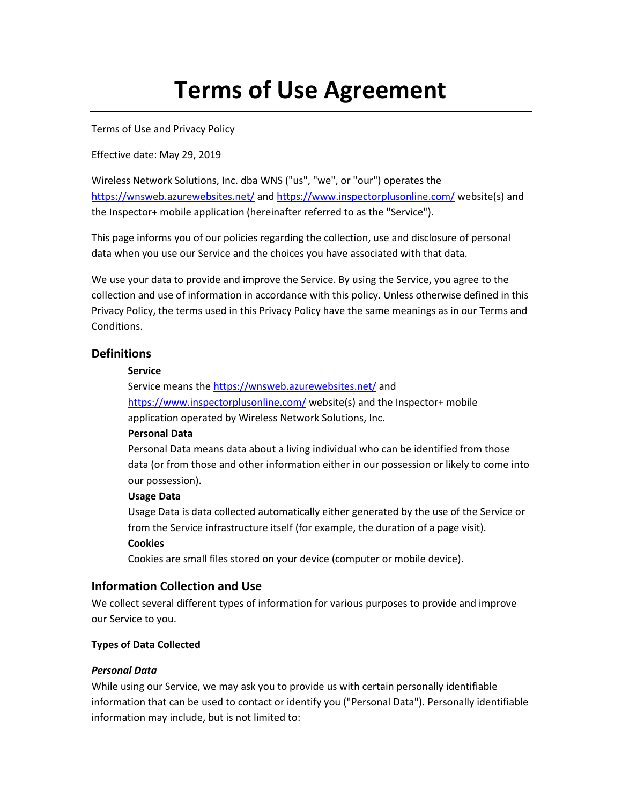# **Terms of Use Agreement**

Terms of Use and Privacy Policy

Effective date: May 29, 2019

Wireless Network Solutions, Inc. dba WNS ("us", "we", or "our") operates the <https://wnsweb.azurewebsites.net/> an[d https://www.inspectorplusonline.com/](https://www.inspectorplusonline.com/) website(s) and the Inspector+ mobile application (hereinafter referred to as the "Service").

This page informs you of our policies regarding the collection, use and disclosure of personal data when you use our Service and the choices you have associated with that data.

We use your data to provide and improve the Service. By using the Service, you agree to the collection and use of information in accordance with this policy. Unless otherwise defined in this Privacy Policy, the terms used in this Privacy Policy have the same meanings as in our Terms and Conditions.

#### **Definitions**

#### **Service**

Service means the<https://wnsweb.azurewebsites.net/> and <https://www.inspectorplusonline.com/> website(s) and the Inspector+ mobile application operated by Wireless Network Solutions, Inc.

#### **Personal Data**

Personal Data means data about a living individual who can be identified from those data (or from those and other information either in our possession or likely to come into our possession).

#### **Usage Data**

Usage Data is data collected automatically either generated by the use of the Service or from the Service infrastructure itself (for example, the duration of a page visit).

## **Cookies**

Cookies are small files stored on your device (computer or mobile device).

## **Information Collection and Use**

We collect several different types of information for various purposes to provide and improve our Service to you.

#### **Types of Data Collected**

#### *Personal Data*

While using our Service, we may ask you to provide us with certain personally identifiable information that can be used to contact or identify you ("Personal Data"). Personally identifiable information may include, but is not limited to: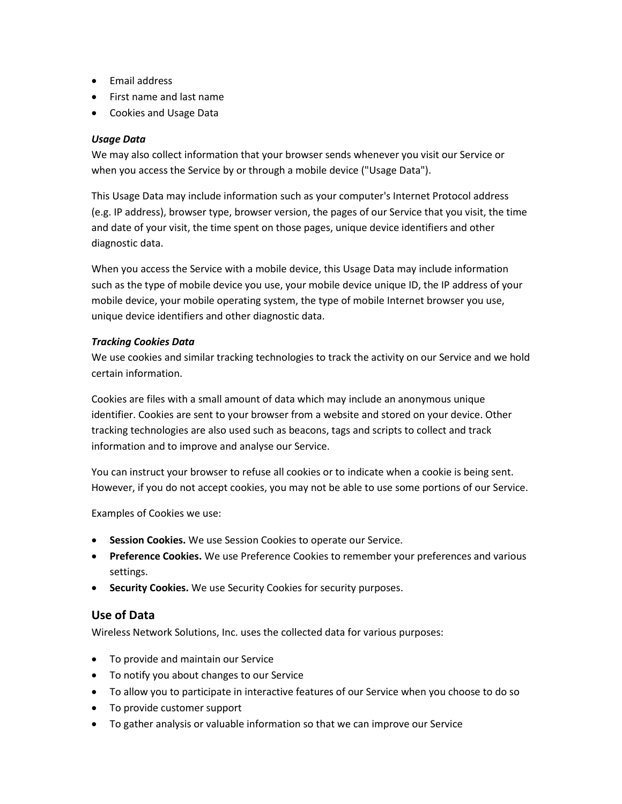- Email address
- First name and last name
- Cookies and Usage Data

## *Usage Data*

We may also collect information that your browser sends whenever you visit our Service or when you access the Service by or through a mobile device ("Usage Data").

This Usage Data may include information such as your computer's Internet Protocol address (e.g. IP address), browser type, browser version, the pages of our Service that you visit, the time and date of your visit, the time spent on those pages, unique device identifiers and other diagnostic data.

When you access the Service with a mobile device, this Usage Data may include information such as the type of mobile device you use, your mobile device unique ID, the IP address of your mobile device, your mobile operating system, the type of mobile Internet browser you use, unique device identifiers and other diagnostic data.

#### *Tracking Cookies Data*

We use cookies and similar tracking technologies to track the activity on our Service and we hold certain information.

Cookies are files with a small amount of data which may include an anonymous unique identifier. Cookies are sent to your browser from a website and stored on your device. Other tracking technologies are also used such as beacons, tags and scripts to collect and track information and to improve and analyse our Service.

You can instruct your browser to refuse all cookies or to indicate when a cookie is being sent. However, if you do not accept cookies, you may not be able to use some portions of our Service.

Examples of Cookies we use:

- **Session Cookies.** We use Session Cookies to operate our Service.
- **Preference Cookies.** We use Preference Cookies to remember your preferences and various settings.
- **Security Cookies.** We use Security Cookies for security purposes.

# **Use of Data**

Wireless Network Solutions, Inc. uses the collected data for various purposes:

- To provide and maintain our Service
- To notify you about changes to our Service
- To allow you to participate in interactive features of our Service when you choose to do so
- To provide customer support
- To gather analysis or valuable information so that we can improve our Service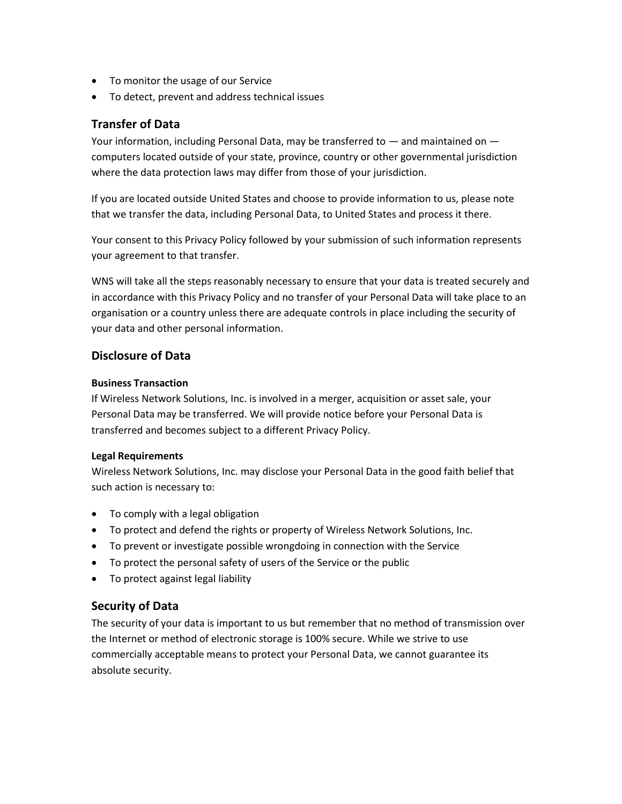- To monitor the usage of our Service
- To detect, prevent and address technical issues

# **Transfer of Data**

Your information, including Personal Data, may be transferred to  $-$  and maintained on  $$ computers located outside of your state, province, country or other governmental jurisdiction where the data protection laws may differ from those of your jurisdiction.

If you are located outside United States and choose to provide information to us, please note that we transfer the data, including Personal Data, to United States and process it there.

Your consent to this Privacy Policy followed by your submission of such information represents your agreement to that transfer.

WNS will take all the steps reasonably necessary to ensure that your data is treated securely and in accordance with this Privacy Policy and no transfer of your Personal Data will take place to an organisation or a country unless there are adequate controls in place including the security of your data and other personal information.

# **Disclosure of Data**

#### **Business Transaction**

If Wireless Network Solutions, Inc. is involved in a merger, acquisition or asset sale, your Personal Data may be transferred. We will provide notice before your Personal Data is transferred and becomes subject to a different Privacy Policy.

#### **Legal Requirements**

Wireless Network Solutions, Inc. may disclose your Personal Data in the good faith belief that such action is necessary to:

- To comply with a legal obligation
- To protect and defend the rights or property of Wireless Network Solutions, Inc.
- To prevent or investigate possible wrongdoing in connection with the Service
- To protect the personal safety of users of the Service or the public
- To protect against legal liability

## **Security of Data**

The security of your data is important to us but remember that no method of transmission over the Internet or method of electronic storage is 100% secure. While we strive to use commercially acceptable means to protect your Personal Data, we cannot guarantee its absolute security.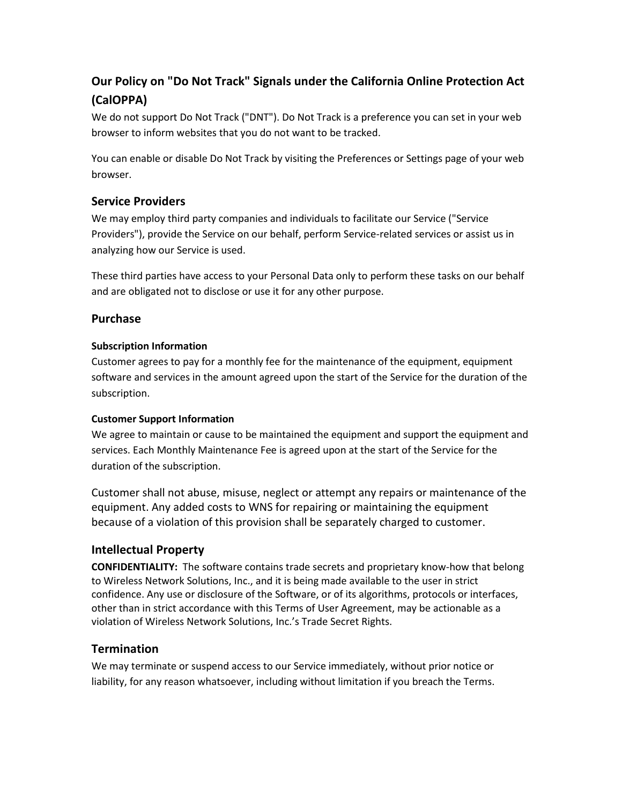# **Our Policy on "Do Not Track" Signals under the California Online Protection Act (CalOPPA)**

We do not support Do Not Track ("DNT"). Do Not Track is a preference you can set in your web browser to inform websites that you do not want to be tracked.

You can enable or disable Do Not Track by visiting the Preferences or Settings page of your web browser.

# **Service Providers**

We may employ third party companies and individuals to facilitate our Service ("Service Providers"), provide the Service on our behalf, perform Service-related services or assist us in analyzing how our Service is used.

These third parties have access to your Personal Data only to perform these tasks on our behalf and are obligated not to disclose or use it for any other purpose.

# **Purchase**

# **Subscription Information**

Customer agrees to pay for a monthly fee for the maintenance of the equipment, equipment software and services in the amount agreed upon the start of the Service for the duration of the subscription.

## **Customer Support Information**

We agree to maintain or cause to be maintained the equipment and support the equipment and services. Each Monthly Maintenance Fee is agreed upon at the start of the Service for the duration of the subscription.

Customer shall not abuse, misuse, neglect or attempt any repairs or maintenance of the equipment. Any added costs to WNS for repairing or maintaining the equipment because of a violation of this provision shall be separately charged to customer.

# **Intellectual Property**

**CONFIDENTIALITY:** The software contains trade secrets and proprietary know-how that belong to Wireless Network Solutions, Inc., and it is being made available to the user in strict confidence. Any use or disclosure of the Software, or of its algorithms, protocols or interfaces, other than in strict accordance with this Terms of User Agreement, may be actionable as a violation of Wireless Network Solutions, Inc.'s Trade Secret Rights.

# **Termination**

We may terminate or suspend access to our Service immediately, without prior notice or liability, for any reason whatsoever, including without limitation if you breach the Terms.